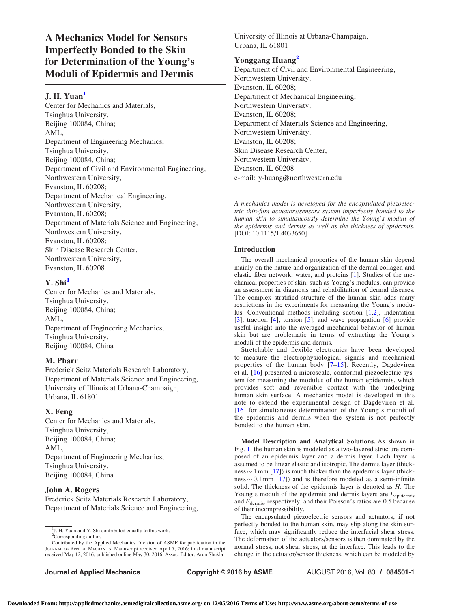A Mechanics Model for Sensors Imperfectly Bonded to the Skin for Determination of the Young's Moduli of Epidermis and Dermis

# J. H. Yuan<sup>1</sup>

Center for Mechanics and Materials, Tsinghua University, Beijing 100084, China; AML, Department of Engineering Mechanics, Tsinghua University, Beijing 100084, China; Department of Civil and Environmental Engineering, Northwestern University, Evanston, IL 60208; Department of Mechanical Engineering, Northwestern University, Evanston, IL 60208; Department of Materials Science and Engineering, Northwestern University, Evanston, IL 60208; Skin Disease Research Center, Northwestern University, Evanston, IL 60208

# $Y. Shi<sup>1</sup>$

Center for Mechanics and Materials, Tsinghua University, Beijing 100084, China; AML, Department of Engineering Mechanics, Tsinghua University, Beijing 100084, China

# M. Pharr

Frederick Seitz Materials Research Laboratory, Department of Materials Science and Engineering, University of Illinois at Urbana-Champaign, Urbana, IL 61801

## X. Feng

Center for Mechanics and Materials, Tsinghua University, Beijing 100084, China; AML, Department of Engineering Mechanics, Tsinghua University, Beijing 100084, China

# John A. Rogers

Frederick Seitz Materials Research Laboratory, Department of Materials Science and Engineering, University of Illinois at Urbana-Champaign, Urbana, IL 61801

# Yonggang Huang<sup>2</sup>

Department of Civil and Environmental Engineering, Northwestern University, Evanston, IL 60208; Department of Mechanical Engineering, Northwestern University, Evanston, IL 60208; Department of Materials Science and Engineering, Northwestern University, Evanston, IL 60208; Skin Disease Research Center, Northwestern University, Evanston, IL 60208 e-mail: y-huang@northwestern.edu

A mechanics model is developed for the encapsulated piezoelectric thin-film actuators/sensors system imperfectly bonded to the human skin to simultaneously determine the Young's moduli of the epidermis and dermis as well as the thickness of epidermis. [DOI: 10.1115/1.4033650]

## Introduction

The overall mechanical properties of the human skin depend mainly on the nature and organization of the dermal collagen and elastic fiber network, water, and proteins [\[1\]](#page-2-0). Studies of the mechanical properties of skin, such as Young's modulus, can provide an assessment in diagnosis and rehabilitation of dermal diseases. The complex stratified structure of the human skin adds many restrictions in the experiments for measuring the Young's modulus. Conventional methods including suction [\[1,2](#page-2-0)], indentation [[3\]](#page-2-0), traction [\[4\]](#page-2-0), torsion [\[5\]](#page-2-0), and wave propagation [[6](#page-2-0)] provide useful insight into the averaged mechanical behavior of human skin but are problematic in terms of extracting the Young's moduli of the epidermis and dermis.

Stretchable and flexible electronics have been developed to measure the electrophysiological signals and mechanical properties of the human body [\[7–15\]](#page-2-0). Recently, Dagdeviren et al. [[16](#page-2-0)] presented a microscale, conformal piezoelectric system for measuring the modulus of the human epidermis, which provides soft and reversible contact with the underlying human skin surface. A mechanics model is developed in this note to extend the experimental design of Dagdeviren et al. [[16](#page-2-0)] for simultaneous determination of the Young's moduli of the epidermis and dermis when the system is not perfectly bonded to the human skin.

Model Description and Analytical Solutions. As shown in Fig. [1](#page-1-0), the human skin is modeled as a two-layered structure composed of an epidermis layer and a dermis layer. Each layer is assumed to be linear elastic and isotropic. The dermis layer (thick $ness \sim 1$  mm [[17\]](#page-2-0)) is much thicker than the epidermis layer (thick $ness \sim 0.1$  mm [[17\]](#page-2-0)) and is therefore modeled as a semi-infinite solid. The thickness of the epidermis layer is denoted as  $H$ . The Young's moduli of the epidermis and dermis layers are  $E_{\text{epidermis}}$ and  $E_{\text{dermis}}$ , respectively, and their Poisson's ratios are 0.5 because of their incompressibility.

The encapsulated piezoelectric sensors and actuators, if not perfectly bonded to the human skin, may slip along the skin surface, which may significantly reduce the interfacial shear stress. The deformation of the actuators/sensors is then dominated by the normal stress, not shear stress, at the interface. This leads to the change in the actuator/sensor thickness, which can be modeled by

<sup>&</sup>lt;sup>1</sup>J. H. Yuan and Y. Shi contributed equally to this work. <sup>2</sup>Corresponding author.

Contributed by the Applied Mechanics Division of ASME for publication in the JOURNAL OF APPLIED MECHANICS. Manuscript received April 7, 2016; final manuscript received May 12, 2016; published online May 30, 2016. Assoc. Editor: Arun Shukla.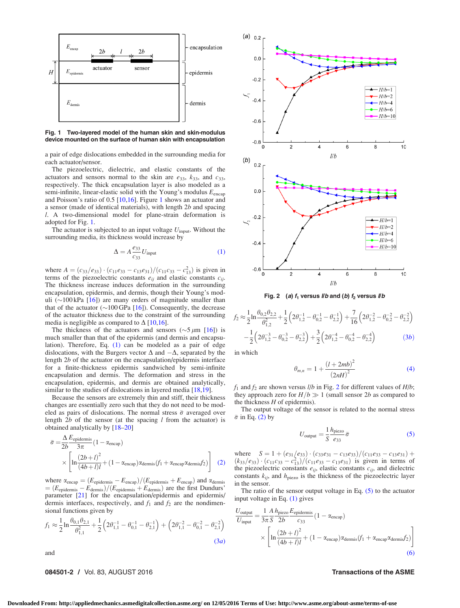<span id="page-1-0"></span>

Fig. 1 Two-layered model of the human skin and skin-modulus device mounted on the surface of human skin with encapsulation

a pair of edge dislocations embedded in the surrounding media for each actuator/sensor.

The piezoelectric, dielectric, and elastic constants of the actuators and sensors normal to the skin are  $e_{33}$ ,  $k_{33}$ , and  $c_{33}$ , respectively. The thick encapsulation layer is also modeled as a semi-infinite, linear-elastic solid with the Young's modulus  $E_{\text{encap}}$ and Poisson's ratio of 0.5 [\[10](#page-2-0),[16\]](#page-2-0). Figure 1 shows an actuator and a sensor (made of identical materials), with length 2b and spacing l. A two-dimensional model for plane-strain deformation is adopted for Fig. 1.

The actuator is subjected to an input voltage  $U_{\text{input}}$ . Without the surrounding media, its thickness would increase by

$$
\Delta = A \frac{e_{33}}{c_{33}} U_{\text{input}}
$$
 (1)

where  $A = (c_{33}/e_{33}) \cdot (c_{11}e_{33} - c_{13}e_{31})/(c_{11}c_{33} - c_{13}^2)$  is given in terms of the piezoelectric constants  $e_{ij}$  and elastic constants  $c_{ij}$ . The thickness increase induces deformation in the surrounding encapsulation, epidermis, and dermis, though their Young's moduli ( $\sim$ 100 kPa [\[16](#page-2-0)]) are many orders of magnitude smaller than that of the actuator ( $\sim$ 100 GPa [[16\]](#page-2-0)). Consequently, the decrease of the actuator thickness due to the constraint of the surrounding media is negligible as compared to  $\Delta$  [\[10,16](#page-2-0)].

The thickness of the actuators and sensors ( $\sim$ 5  $\mu$ m [\[16](#page-2-0)]) is much smaller than that of the epidermis (and dermis and encapsulation). Therefore, Eq. (1) can be modeled as a pair of edge dislocations, with the Burgers vector  $\Delta$  and  $-\Delta$ , separated by the length 2b of the actuator on the encapsulation/epidermis interface for a finite-thickness epidermis sandwiched by semi-infinite encapsulation and dermis. The deformation and stress in the encapsulation, epidermis, and dermis are obtained analytically, similar to the studies of dislocations in layered media [[18,19\]](#page-2-0).

Because the sensors are extremely thin and stiff, their thickness changes are essentially zero such that they do not need to be modeled as pairs of dislocations. The normal stress  $\bar{\sigma}$  averaged over length  $2b$  of the sensor (at the spacing  $l$  from the actuator) is obtained analytically by [\[18](#page-2-0)–[20\]](#page-2-0)

$$
\bar{\sigma} = \frac{\Delta E_{\text{epidermis}}}{2b} (1 - \alpha_{\text{encap}})
$$

$$
\times \left[ \ln \frac{(2b+l)^2}{(4b+l)l} + (1 - \alpha_{\text{encap}}) \alpha_{\text{dermis}} (f_1 + \alpha_{\text{encap}} \alpha_{\text{dermis}} f_2) \right] (2)
$$

where  $\alpha_{\text{encap}} = (E_{\text{epidermis}} - E_{\text{encap}})/(E_{\text{epidermis}} + E_{\text{encap}})$  and  $\alpha_{\text{dermis}}$  $=(E_{\text{epidermis}}-E_{\text{dermis}})/(E_{\text{epidermis}}+E_{\text{dermis}})$  are the first Dundurs' parameter [[21\]](#page-2-0) for the encapsulation/epidermis and epidermis/ dermis interfaces, respectively, and  $f_1$  and  $f_2$  are the nondimensional functions given by

$$
f_1 \approx \frac{1}{2} \ln \frac{\theta_{0,1} \theta_{2,1}}{\theta_{1,1}^2} + \frac{1}{2} \left( 2\theta_{1,1}^{-1} - \theta_{0,1}^{-1} - \theta_{2,1}^{-1} \right) + \left( 2\theta_{1,1}^{-2} - \theta_{0,1}^{-2} - \theta_{2,1}^{-2} \right)
$$
\n(3*a*)

and

## 084501-2 / Vol. 83, AUGUST 2016 **Transactions of the ASME**



Fig. 2 (a)  $f_1$  versus *llb* and (b)  $f_2$  versus *llb* 

$$
f_2 \approx \frac{1}{2} \ln \frac{\theta_{0,2} \theta_{2,2}}{\theta_{1,2}^2} + \frac{1}{2} \left( 2\theta_{1,2}^{-1} - \theta_{0,2}^{-1} - \theta_{2,2}^{-1} \right) + \frac{7}{16} \left( 2\theta_{1,2}^{-2} - \theta_{0,2}^{-2} - \theta_{2,2}^{-2} \right) - \frac{1}{2} \left( 2\theta_{1,2}^{-3} - \theta_{0,2}^{-3} - \theta_{2,2}^{-3} \right) + \frac{3}{2} \left( 2\theta_{1,2}^{-4} - \theta_{0,2}^{-4} - \theta_{2,2}^{-4} \right)
$$
(3b)

in which

$$
\theta_{m,n} = 1 + \frac{(l + 2mb)^2}{(2nH)^2} \tag{4}
$$

 $f_1$  and  $f_2$  are shown versus *l/b* in Fig. 2 for different values of *H/b*; they approach zero for  $H/b \gg 1$  (small sensor 2b as compared to the thickness  $H$  of epidermis).

The output voltage of the sensor is related to the normal stress  $\bar{\sigma}$  in Eq. (2) by

$$
U_{\text{output}} = \frac{1}{S} \frac{h_{\text{piezo}}}{e_{33}} \bar{\sigma}
$$
 (5)

where  $S = 1 + (e_{31}/e_{33}) \cdot (c_{33}e_{31} - c_{13}e_{33})/(c_{11}e_{33} - c_{13}e_{31}) +$  $(k_{33}/e_{33}) \cdot (c_{11}c_{33} - c_{13}^2)/(c_{11}e_{33} - c_{13}e_{31})$  is given in terms of the piezoelectric constants  $e_{ij}$ , elastic constants  $c_{ij}$ , and dielectric constants  $k_{ij}$ , and  $h_{\text{piezo}}$  is the thickness of the piezoelectric layer in the sensor.

The ratio of the sensor output voltage in Eq.  $(5)$  to the actuator input voltage in Eq. (1) gives

$$
\frac{U_{\text{output}}}{U_{\text{input}}} = \frac{1}{3\pi} \frac{A}{S} \frac{h_{\text{piezo}} E_{\text{epidermis}}}{2b} (1 - \alpha_{\text{encap}})
$$
\n
$$
\times \left[ \ln \frac{(2b + l)^2}{(4b + l)l} + (1 - \alpha_{\text{encap}}) \alpha_{\text{dermis}} (f_1 + \alpha_{\text{encap}} \alpha_{\text{dermis}} f_2) \right]
$$
\n(6)